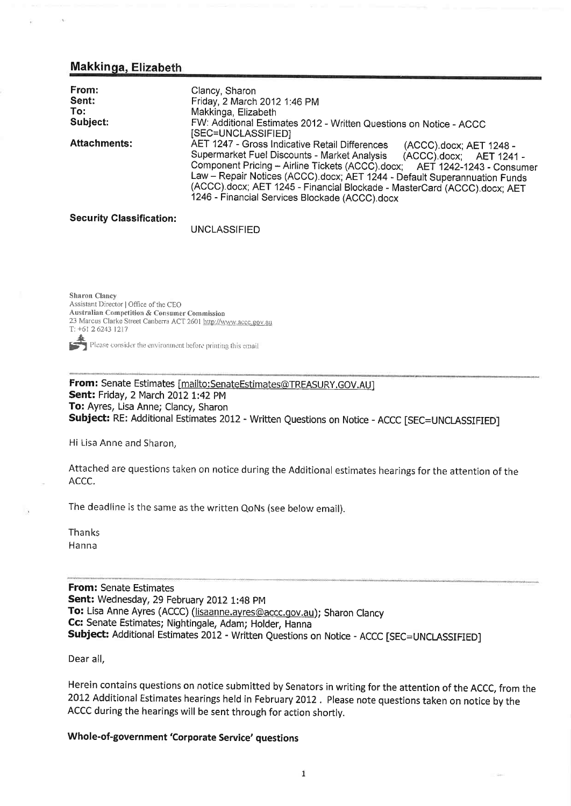# **Makkinga, Elizabeth**

| From:<br>Sent:<br>To:<br>Subject: | Clancy, Sharon<br>Friday, 2 March 2012 1:46 PM<br>Makkinga, Elizabeth<br>FW: Additional Estimates 2012 - Written Questions on Notice - ACCC                                                                                                                                                                                                                                                                                                     |
|-----------------------------------|-------------------------------------------------------------------------------------------------------------------------------------------------------------------------------------------------------------------------------------------------------------------------------------------------------------------------------------------------------------------------------------------------------------------------------------------------|
|                                   | [SEC=UNCLASSIFIED]                                                                                                                                                                                                                                                                                                                                                                                                                              |
| <b>Attachments:</b>               | AET 1247 - Gross Indicative Retail Differences<br>(ACCC).docx; AET 1248 -<br>Supermarket Fuel Discounts - Market Analysis<br>(ACCC).docx; AET 1241 -<br>Component Pricing - Airline Tickets (ACCC) docx;<br>AET 1242-1243 - Consumer<br>Law - Repair Notices (ACCC) docx; AET 1244 - Default Superannuation Funds<br>(ACCC) docx; AET 1245 - Financial Blockade - MasterCard (ACCC) docx; AET<br>1246 - Financial Services Blockade (ACCC).docx |

### **Security Classification:**

**UNCLASSIFIED** 

**Sharon Clancy** Assistant Director | Office of the CEO **Australian Competition & Consumer Commission** 23 Marcus Clarke Street Canberra ACT 2601 http://www.accc.gov.au T: +61 2 6243 1217  $\blacksquare$  Please consider the environment before printing this email

From: Senate Estimates [mailto:SenateEstimates@TREASURY.GOV.AU] **Sent:** Friday, 2 March 2012 1:42 PM To: Ayres, Lisa Anne; Clancy, Sharon Subject: RE: Additional Estimates 2012 - Written Questions on Notice - ACCC [SEC=UNCLASSIFIED]

Hi Lisa Anne and Sharon.

Attached are questions taken on notice during the Additional estimates hearings for the attention of the ACCC.

The deadline is the same as the written QoNs (see below email).

Thanks Hanna

**From: Senate Estimates** Sent: Wednesday, 29 February 2012 1:48 PM To: Lisa Anne Ayres (ACCC) (lisaanne.ayres@accc.gov.au); Sharon Clancy Cc: Senate Estimates; Nightingale, Adam; Holder, Hanna Subject: Additional Estimates 2012 - Written Questions on Notice - ACCC [SEC=UNCLASSIFIED]

Dear all,

Herein contains questions on notice submitted by Senators in writing for the attention of the ACCC, from the 2012 Additional Estimates hearings held in February 2012. Please note questions taken on notice by the ACCC during the hearings will be sent through for action shortly.

## Whole-of-government 'Corporate Service' questions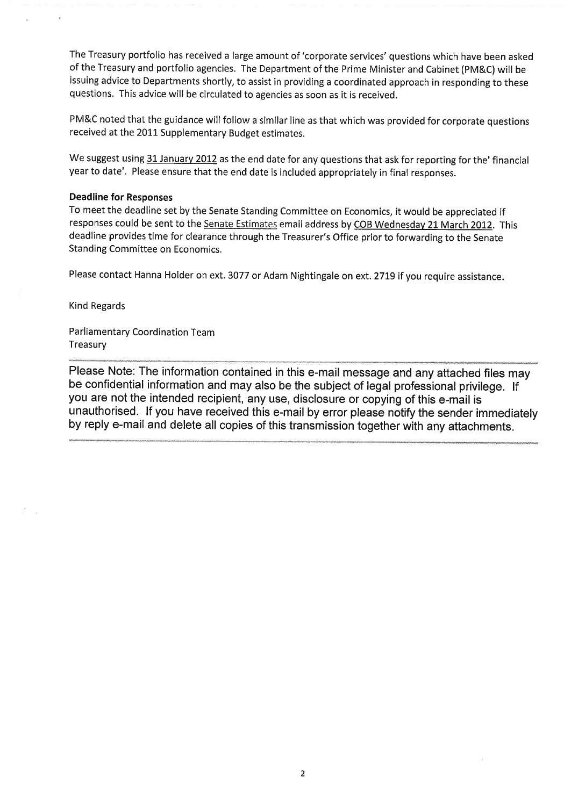The Treasury portfolio has received a large amount of 'corporate services' questions which have been asked of the Treasury and portfolio agencies. The Department of the Prime Minister and Cabinet (PM&C) will be issuing advice to Departments shortly, to assist in providing a coordinated approach in responding to these questions. This advice will be circulated to agencies as soon as it is received.

PM&C noted that the guidance will follow a similar line as that which was provided for corporate questions received at the 2011 Supplementary Budget estimates.

We suggest using 31 January 2012 as the end date for any questions that ask for reporting for the' financial year to date'. Please ensure that the end date is included appropriately in final responses.

### Deadline for Responses

To meet the deadline set by the Senate Standing Committee on Economics, it would be appreciated if responses could be sent to the Senate Estímates email address by COB Wednesdav 21 March 2012. This deadline provides time for clearance through the Treasurer's Office prior to forwarding to the Senate Standing Committee on Economics,

Please contact Hanna Holder on ext. 3077 or Adam Nightingale on ext. 2779 tf you require assistance.

Kind Regards

Parliamentary Coordination Team Treasury

Please Note: The information contained in this e-mail message and any attached files may be confidential information and may also be the subject of legal professional privilege. lf you are not the intended recipient, any use, disclosure or copying of this e-mail is unauthorised. lf you have received this e-mail by error please notify the sender immediately by reply e-mail and delete all copies of this transmission together with any attachments.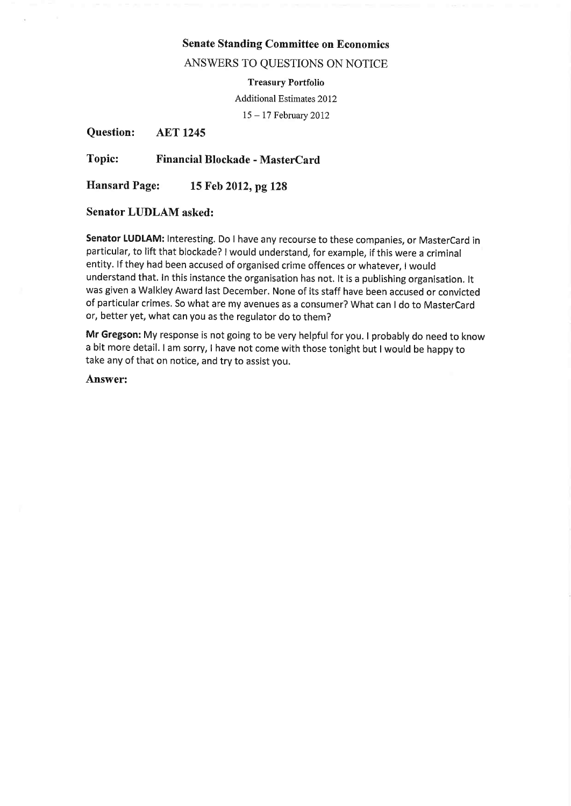# Senate Standing Committee on Economics

## ANSWERS TO QUESTIONS ON NOTICE

Treasury Portfolio

Additional Estimates 2012

<sup>15</sup>- l7 Februarv 2012

Question: AET <sup>1245</sup>

Topic: Financial Blockade - MasterCard

Hansard Page: 15 Feb 2012, pg <sup>128</sup>

# Senator LUDLAM asked:

Senator LUDLAM: Interesting. Do I have any recourse to these companies, or MasterCard in particular, to lift that blockade? I would understand, for example, if this were a criminal entity. lf they had been accused of organised crime offences or whatever, I would understand that. In this instance the organisation has not. lt is a publishing organísation. lt was given a Walkley Award last December. None of its staff have been accused or convicted of particular crimes. So what are my avenues as a consumer? What can I do to MasterCard or, better yet, what can you as the regulator do to them?

Mr Gregson: My response is not going to be very helpful for you. I probably do need to know <sup>a</sup>bit more detail. I am sorry, I have not come with those tonight but I would be happy to take any of that on notice, and try to assist you.

Answer: